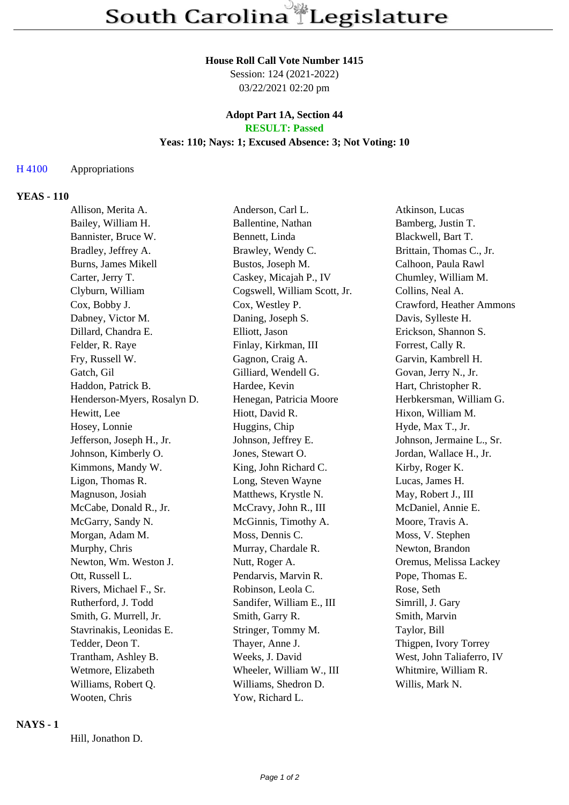#### **House Roll Call Vote Number 1415**

Session: 124 (2021-2022) 03/22/2021 02:20 pm

#### **Adopt Part 1A, Section 44 RESULT: Passed**

# **Yeas: 110; Nays: 1; Excused Absence: 3; Not Voting: 10**

#### H 4100 Appropriations

## **YEAS - 110**

| Allison, Merita A.          |  | Anderson, Carl L.            | Atkinson, Lucas           |
|-----------------------------|--|------------------------------|---------------------------|
| Bailey, William H.          |  | Ballentine, Nathan           | Bamberg, Justin T.        |
| Bannister, Bruce W.         |  | Bennett, Linda               | Blackwell, Bart T.        |
| Bradley, Jeffrey A.         |  | Brawley, Wendy C.            | Brittain, Thomas C., Jr.  |
| <b>Burns, James Mikell</b>  |  | Bustos, Joseph M.            | Calhoon, Paula Rawl       |
| Carter, Jerry T.            |  | Caskey, Micajah P., IV       | Chumley, William M.       |
| Clyburn, William            |  | Cogswell, William Scott, Jr. | Collins, Neal A.          |
| Cox, Bobby J.               |  | Cox, Westley P.              | Crawford, Heather Ammons  |
| Dabney, Victor M.           |  | Daning, Joseph S.            | Davis, Sylleste H.        |
| Dillard, Chandra E.         |  | Elliott, Jason               | Erickson, Shannon S.      |
| Felder, R. Raye             |  | Finlay, Kirkman, III         | Forrest, Cally R.         |
| Fry, Russell W.             |  | Gagnon, Craig A.             | Garvin, Kambrell H.       |
| Gatch, Gil                  |  | Gilliard, Wendell G.         | Govan, Jerry N., Jr.      |
| Haddon, Patrick B.          |  | Hardee, Kevin                | Hart, Christopher R.      |
| Henderson-Myers, Rosalyn D. |  | Henegan, Patricia Moore      | Herbkersman, William G.   |
| Hewitt, Lee                 |  | Hiott, David R.              | Hixon, William M.         |
| Hosey, Lonnie               |  | Huggins, Chip                | Hyde, Max T., Jr.         |
| Jefferson, Joseph H., Jr.   |  | Johnson, Jeffrey E.          | Johnson, Jermaine L., Sr. |
| Johnson, Kimberly O.        |  | Jones, Stewart O.            | Jordan, Wallace H., Jr.   |
| Kimmons, Mandy W.           |  | King, John Richard C.        | Kirby, Roger K.           |
| Ligon, Thomas R.            |  | Long, Steven Wayne           | Lucas, James H.           |
| Magnuson, Josiah            |  | Matthews, Krystle N.         | May, Robert J., III       |
| McCabe, Donald R., Jr.      |  | McCravy, John R., III        | McDaniel, Annie E.        |
| McGarry, Sandy N.           |  | McGinnis, Timothy A.         | Moore, Travis A.          |
| Morgan, Adam M.             |  | Moss, Dennis C.              | Moss, V. Stephen          |
| Murphy, Chris               |  | Murray, Chardale R.          | Newton, Brandon           |
| Newton, Wm. Weston J.       |  | Nutt, Roger A.               | Oremus, Melissa Lackey    |
| Ott, Russell L.             |  | Pendarvis, Marvin R.         | Pope, Thomas E.           |
| Rivers, Michael F., Sr.     |  | Robinson, Leola C.           | Rose, Seth                |
| Rutherford, J. Todd         |  | Sandifer, William E., III    | Simrill, J. Gary          |
| Smith, G. Murrell, Jr.      |  | Smith, Garry R.              | Smith, Marvin             |
| Stavrinakis, Leonidas E.    |  | Stringer, Tommy M.           | Taylor, Bill              |
| Tedder, Deon T.             |  | Thayer, Anne J.              | Thigpen, Ivory Torrey     |
| Trantham, Ashley B.         |  | Weeks, J. David              | West, John Taliaferro, IV |
| Wetmore, Elizabeth          |  | Wheeler, William W., III     | Whitmire, William R.      |
| Williams, Robert Q.         |  | Williams, Shedron D.         | Willis, Mark N.           |
| Wooten, Chris               |  | Yow, Richard L.              |                           |

#### **NAYS - 1**

Hill, Jonathon D.